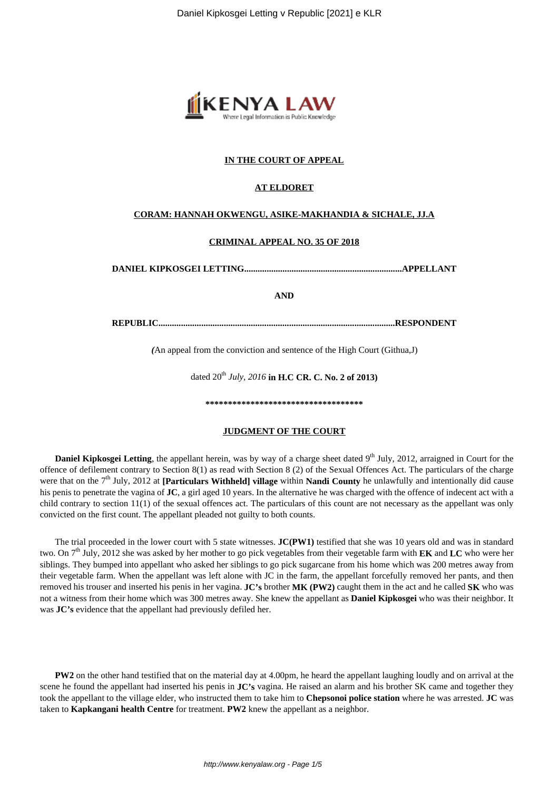

#### **IN THE COURT OF APPEAL**

#### **AT ELDORET**

## **CORAM: HANNAH OKWENGU, ASIKE-MAKHANDIA & SICHALE, JJ.A**

## **CRIMINAL APPEAL NO. 35 OF 2018**

**DANIEL KIPKOSGEI LETTING......................................................................APPELLANT**

**AND**

**REPUBLIC.........................................................................................................RESPONDENT**

*(*An appeal from the conviction and sentence of the High Court (Githua,J)

dated  $20^{th}$  *July, 2016* in H.C CR. C. No. 2 of 2013)

**\*\*\*\*\*\*\*\*\*\*\*\*\*\*\*\*\*\*\*\*\*\*\*\*\*\*\*\*\*\*\*\*\*\*\***

#### **JUDGMENT OF THE COURT**

**Daniel Kipkosgei Letting**, the appellant herein, was by way of a charge sheet dated 9<sup>th</sup> July, 2012, arraigned in Court for the offence of defilement contrary to Section 8(1) as read with Section 8 (2) of the Sexual Offences Act. The particulars of the charge were that on the 7<sup>th</sup> July, 2012 at **[Particulars Withheld] village** within **Nandi County** he unlawfully and intentionally did cause his penis to penetrate the vagina of **JC**, a girl aged 10 years. In the alternative he was charged with the offence of indecent act with a child contrary to section 11(1) of the sexual offences act. The particulars of this count are not necessary as the appellant was only convicted on the first count. The appellant pleaded not guilty to both counts.

The trial proceeded in the lower court with 5 state witnesses. **JC(PW1)** testified that she was 10 years old and was in standard two. On 7th July, 2012 she was asked by her mother to go pick vegetables from their vegetable farm with **EK** and **LC** who were her siblings. They bumped into appellant who asked her siblings to go pick sugarcane from his home which was 200 metres away from their vegetable farm. When the appellant was left alone with JC in the farm, the appellant forcefully removed her pants, and then removed his trouser and inserted his penis in her vagina. **JC's** brother **MK (PW2)** caught them in the act and he called **SK** who was not a witness from their home which was 300 metres away. She knew the appellant as **Daniel Kipkosgei** who was their neighbor. It was **JC's** evidence that the appellant had previously defiled her.

**PW2** on the other hand testified that on the material day at 4.00pm, he heard the appellant laughing loudly and on arrival at the scene he found the appellant had inserted his penis in **JC's** vagina. He raised an alarm and his brother SK came and together they took the appellant to the village elder, who instructed them to take him to **Chepsonoi police station** where he was arrested. **JC** was taken to **Kapkangani health Centre** for treatment. **PW2** knew the appellant as a neighbor.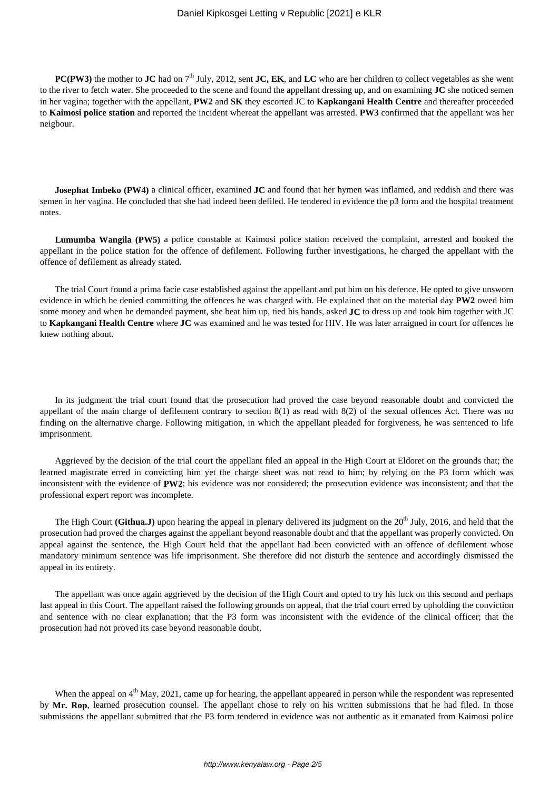**PC(PW3)** the mother to **JC** had on  $7<sup>th</sup>$  July, 2012, sent **JC, EK**, and **LC** who are her children to collect vegetables as she went to the river to fetch water. She proceeded to the scene and found the appellant dressing up, and on examining **JC** she noticed semen in her vagina; together with the appellant, **PW2** and **SK** they escorted JC to **Kapkangani Health Centre** and thereafter proceeded to **Kaimosi police station** and reported the incident whereat the appellant was arrested. **PW3** confirmed that the appellant was her neigbour.

**Josephat Imbeko (PW4)** a clinical officer, examined **JC** and found that her hymen was inflamed, and reddish and there was semen in her vagina. He concluded that she had indeed been defiled. He tendered in evidence the p3 form and the hospital treatment notes.

**Lumumba Wangila (PW5)** a police constable at Kaimosi police station received the complaint, arrested and booked the appellant in the police station for the offence of defilement. Following further investigations, he charged the appellant with the offence of defilement as already stated.

The trial Court found a prima facie case established against the appellant and put him on his defence. He opted to give unsworn evidence in which he denied committing the offences he was charged with. He explained that on the material day **PW2** owed him some money and when he demanded payment, she beat him up, tied his hands, asked **JC** to dress up and took him together with JC to **Kapkangani Health Centre** where **JC** was examined and he was tested for HIV. He was later arraigned in court for offences he knew nothing about.

In its judgment the trial court found that the prosecution had proved the case beyond reasonable doubt and convicted the appellant of the main charge of defilement contrary to section 8(1) as read with 8(2) of the sexual offences Act. There was no finding on the alternative charge. Following mitigation, in which the appellant pleaded for forgiveness, he was sentenced to life imprisonment.

Aggrieved by the decision of the trial court the appellant filed an appeal in the High Court at Eldoret on the grounds that; the learned magistrate erred in convicting him yet the charge sheet was not read to him; by relying on the P3 form which was inconsistent with the evidence of **PW2**; his evidence was not considered; the prosecution evidence was inconsistent; and that the professional expert report was incomplete.

The High Court **(Githua.J)** upon hearing the appeal in plenary delivered its judgment on the  $20^{th}$  July, 2016, and held that the prosecution had proved the charges against the appellant beyond reasonable doubt and that the appellant was properly convicted. On appeal against the sentence, the High Court held that the appellant had been convicted with an offence of defilement whose mandatory minimum sentence was life imprisonment. She therefore did not disturb the sentence and accordingly dismissed the appeal in its entirety.

The appellant was once again aggrieved by the decision of the High Court and opted to try his luck on this second and perhaps last appeal in this Court. The appellant raised the following grounds on appeal, that the trial court erred by upholding the conviction and sentence with no clear explanation; that the P3 form was inconsistent with the evidence of the clinical officer; that the prosecution had not proved its case beyond reasonable doubt.

When the appeal on  $4<sup>th</sup>$  May, 2021, came up for hearing, the appellant appeared in person while the respondent was represented by **Mr. Rop**, learned prosecution counsel. The appellant chose to rely on his written submissions that he had filed. In those submissions the appellant submitted that the P3 form tendered in evidence was not authentic as it emanated from Kaimosi police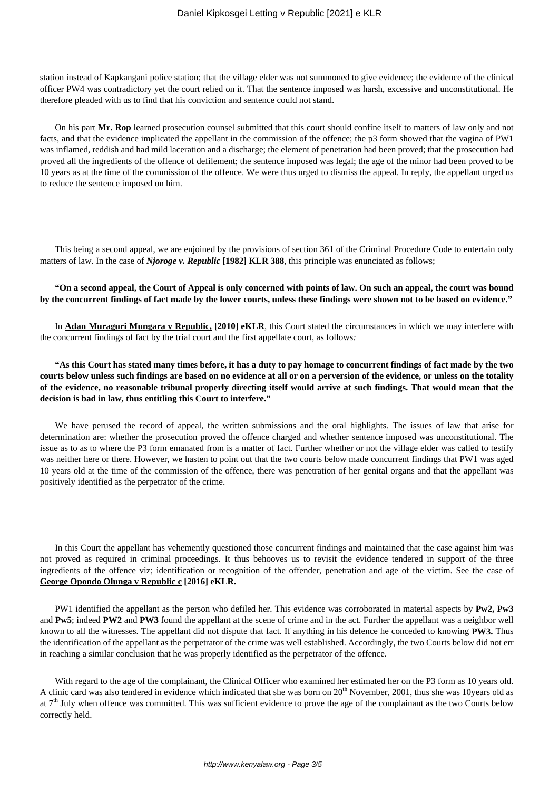station instead of Kapkangani police station; that the village elder was not summoned to give evidence; the evidence of the clinical officer PW4 was contradictory yet the court relied on it. That the sentence imposed was harsh, excessive and unconstitutional. He therefore pleaded with us to find that his conviction and sentence could not stand.

On his part **Mr. Rop** learned prosecution counsel submitted that this court should confine itself to matters of law only and not facts, and that the evidence implicated the appellant in the commission of the offence; the p3 form showed that the vagina of PW1 was inflamed, reddish and had mild laceration and a discharge; the element of penetration had been proved; that the prosecution had proved all the ingredients of the offence of defilement; the sentence imposed was legal; the age of the minor had been proved to be 10 years as at the time of the commission of the offence. We were thus urged to dismiss the appeal. In reply, the appellant urged us to reduce the sentence imposed on him.

This being a second appeal, we are enjoined by the provisions of section 361 of the Criminal Procedure Code to entertain only matters of law. In the case of *Njoroge v. Republic* [1982] KLR 388, this principle was enunciated as follows;

## **"On a second appeal, the Court of Appeal is only concerned with points of law. On such an appeal, the court was bound by the concurrent findings of fact made by the lower courts, unless these findings were shown not to be based on evidence."**

In **Adan Muraguri Mungara v Republic, [2010] eKLR**, this Court stated the circumstances in which we may interfere with the concurrent findings of fact by the trial court and the first appellate court, as follows*:*

**"As this Court has stated many times before, it has a duty to pay homage to concurrent findings of fact made by the two courts below unless such findings are based on no evidence at all or on a perversion of the evidence, or unless on the totality of the evidence, no reasonable tribunal properly directing itself would arrive at such findings. That would mean that the decision is bad in law, thus entitling this Court to interfere."**

We have perused the record of appeal, the written submissions and the oral highlights. The issues of law that arise for determination are: whether the prosecution proved the offence charged and whether sentence imposed was unconstitutional. The issue as to as to where the P3 form emanated from is a matter of fact. Further whether or not the village elder was called to testify was neither here or there. However, we hasten to point out that the two courts below made concurrent findings that PW1 was aged 10 years old at the time of the commission of the offence, there was penetration of her genital organs and that the appellant was positively identified as the perpetrator of the crime.

In this Court the appellant has vehemently questioned those concurrent findings and maintained that the case against him was not proved as required in criminal proceedings. It thus behooves us to revisit the evidence tendered in support of the three ingredients of the offence viz; identification or recognition of the offender, penetration and age of the victim. See the case of **George Opondo Olunga v Republic c [2016] eKLR.**

PW1 identified the appellant as the person who defiled her. This evidence was corroborated in material aspects by **Pw2, Pw3** and **Pw5**; indeed **PW2** and **PW3** found the appellant at the scene of crime and in the act. Further the appellant was a neighbor well known to all the witnesses. The appellant did not dispute that fact. If anything in his defence he conceded to knowing **PW3.** Thus the identification of the appellant as the perpetrator of the crime was well established. Accordingly, the two Courts below did not err in reaching a similar conclusion that he was properly identified as the perpetrator of the offence.

With regard to the age of the complainant, the Clinical Officer who examined her estimated her on the P3 form as 10 years old. A clinic card was also tendered in evidence which indicated that she was born on  $20<sup>th</sup>$  November, 2001, thus she was 10years old as at  $7<sup>th</sup>$  July when offence was committed. This was sufficient evidence to prove the age of the complainant as the two Courts below correctly held.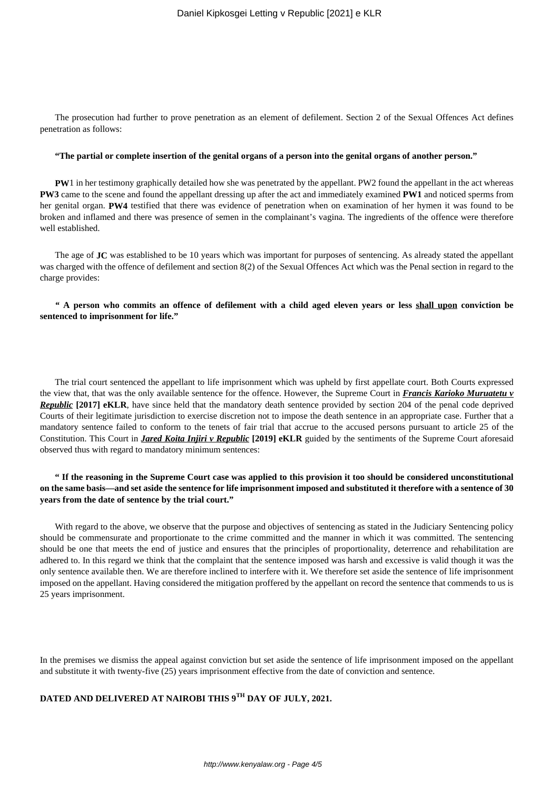The prosecution had further to prove penetration as an element of defilement. Section 2 of the Sexual Offences Act defines penetration as follows:

#### **"The partial or complete insertion of the genital organs of a person into the genital organs of another person."**

**PW**1 in her testimony graphically detailed how she was penetrated by the appellant. PW2 found the appellant in the act whereas **PW3** came to the scene and found the appellant dressing up after the act and immediately examined **PW1** and noticed sperms from her genital organ. **PW4** testified that there was evidence of penetration when on examination of her hymen it was found to be broken and inflamed and there was presence of semen in the complainant's vagina. The ingredients of the offence were therefore well established.

The age of **JC** was established to be 10 years which was important for purposes of sentencing. As already stated the appellant was charged with the offence of defilement and section 8(2) of the Sexual Offences Act which was the Penal section in regard to the charge provides:

# *"* **A person who commits an offence of defilement with a child aged eleven years or less shall upon conviction be sentenced to imprisonment for life."**

The trial court sentenced the appellant to life imprisonment which was upheld by first appellate court. Both Courts expressed the view that, that was the only available sentence for the offence. However, the Supreme Court in *Francis Karioko Muruatetu v Republic* **[2017] eKLR**, have since held that the mandatory death sentence provided by section 204 of the penal code deprived Courts of their legitimate jurisdiction to exercise discretion not to impose the death sentence in an appropriate case. Further that a mandatory sentence failed to conform to the tenets of fair trial that accrue to the accused persons pursuant to article 25 of the Constitution. This Court in *Jared Koita Injiri v Republic* **[2019] eKLR** guided by the sentiments of the Supreme Court aforesaid observed thus with regard to mandatory minimum sentences:

## **" If the reasoning in the Supreme Court case was applied to this provision it too should be considered unconstitutional on the same basis—and set aside the sentence for life imprisonment imposed and substituted it therefore with a sentence of 30 years from the date of sentence by the trial court."**

With regard to the above, we observe that the purpose and objectives of sentencing as stated in the Judiciary Sentencing policy should be commensurate and proportionate to the crime committed and the manner in which it was committed. The sentencing should be one that meets the end of justice and ensures that the principles of proportionality, deterrence and rehabilitation are adhered to. In this regard we think that the complaint that the sentence imposed was harsh and excessive is valid though it was the only sentence available then. We are therefore inclined to interfere with it. We therefore set aside the sentence of life imprisonment imposed on the appellant. Having considered the mitigation proffered by the appellant on record the sentence that commends to us is 25 years imprisonment.

In the premises we dismiss the appeal against conviction but set aside the sentence of life imprisonment imposed on the appellant and substitute it with twenty-five (25) years imprisonment effective from the date of conviction and sentence.

# **DATED AND DELIVERED AT NAIROBI THIS 9TH DAY OF JULY, 2021.**